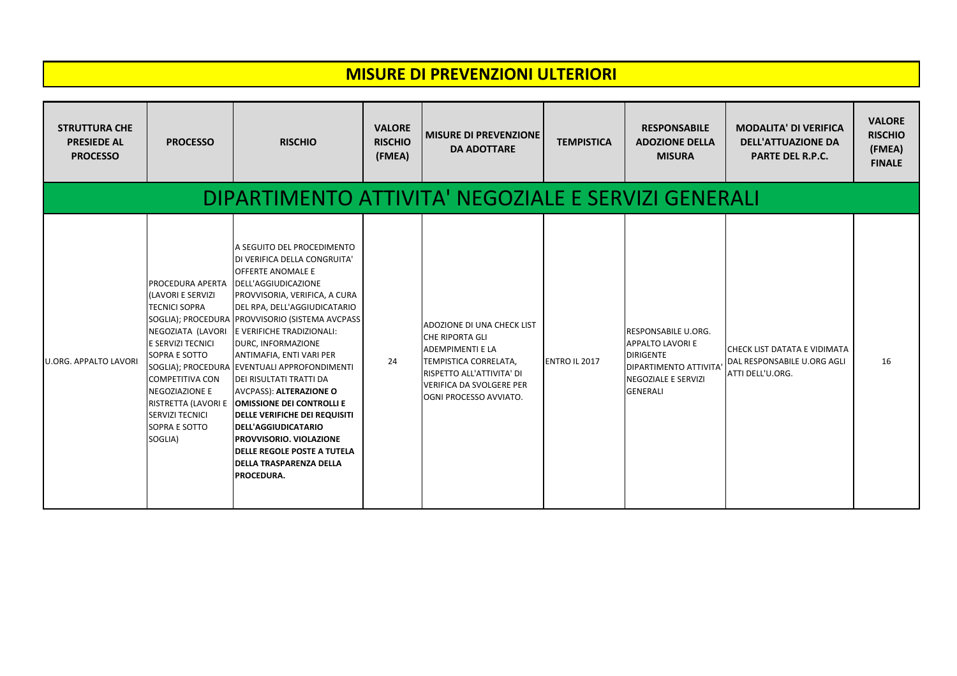## **MISURE DI PREVENZIONI ULTERIORI**

| <b>STRUTTURA CHE</b><br><b>PRESIEDE AL</b><br><b>PROCESSO</b> | <b>PROCESSO</b>                                                                                                                                                                                                                   | <b>RISCHIO</b>                                                                                                                                                                                                                                                                                                                                                                                                                                                                                                                                                                                                                                                                    | <b>VALORE</b><br><b>RISCHIO</b><br>(FMEA) | <b>MISURE DI PREVENZIONE</b><br><b>DA ADOTTARE</b>                                                                                                                                                 | <b>TEMPISTICA</b>    | <b>RESPONSABILE</b><br><b>ADOZIONE DELLA</b><br><b>MISURA</b>                                                                                  | <b>MODALITA' DI VERIFICA</b><br><b>DELL'ATTUAZIONE DA</b><br><b>PARTE DEL R.P.C.</b>   | <b>VALORE</b><br><b>RISCHIO</b><br>(FMEA)<br><b>FINALE</b> |  |  |  |
|---------------------------------------------------------------|-----------------------------------------------------------------------------------------------------------------------------------------------------------------------------------------------------------------------------------|-----------------------------------------------------------------------------------------------------------------------------------------------------------------------------------------------------------------------------------------------------------------------------------------------------------------------------------------------------------------------------------------------------------------------------------------------------------------------------------------------------------------------------------------------------------------------------------------------------------------------------------------------------------------------------------|-------------------------------------------|----------------------------------------------------------------------------------------------------------------------------------------------------------------------------------------------------|----------------------|------------------------------------------------------------------------------------------------------------------------------------------------|----------------------------------------------------------------------------------------|------------------------------------------------------------|--|--|--|
| DIPARTIMENTO ATTIVITA' NEGOZIALE E SERVIZI GENERALI           |                                                                                                                                                                                                                                   |                                                                                                                                                                                                                                                                                                                                                                                                                                                                                                                                                                                                                                                                                   |                                           |                                                                                                                                                                                                    |                      |                                                                                                                                                |                                                                                        |                                                            |  |  |  |
| <b>U.ORG. APPALTO LAVORI</b>                                  | PROCEDURA APERTA<br>(LAVORI E SERVIZI<br><b>TECNICI SOPRA</b><br>NEGOZIATA (LAVORI<br>E SERVIZI TECNICI<br>SOPRA E SOTTO<br><b>COMPETITIVA CON</b><br><b>NEGOZIAZIONE E</b><br><b>SERVIZI TECNICI</b><br>SOPRA E SOTTO<br>SOGLIA) | A SEGUITO DEL PROCEDIMENTO<br>DI VERIFICA DELLA CONGRUITA'<br><b>OFFERTE ANOMALE E</b><br>DELL'AGGIUDICAZIONE<br>PROVVISORIA, VERIFICA, A CURA<br>DEL RPA, DELL'AGGIUDICATARIO<br>SOGLIA); PROCEDURA   PROVVISORIO (SISTEMA AVCPASS<br><b>LE VERIFICHE TRADIZIONALI:</b><br>DURC, INFORMAZIONE<br>ANTIMAFIA, ENTI VARI PER<br>SOGLIA); PROCEDURA EVENTUALI APPROFONDIMENTI<br>DEI RISULTATI TRATTI DA<br><b>AVCPASS): ALTERAZIONE O</b><br>RISTRETTA (LAVORI E   OMISSIONE DEI CONTROLLI E<br><b>DELLE VERIFICHE DEI REQUISITI</b><br><b>DELL'AGGIUDICATARIO</b><br>PROVVISORIO. VIOLAZIONE<br><b>DELLE REGOLE POSTE A TUTELA</b><br><b>DELLA TRASPARENZA DELLA</b><br>PROCEDURA. | 24                                        | ADOZIONE DI UNA CHECK LIST<br><b>CHE RIPORTA GLI</b><br><b>ADEMPIMENTI E LA</b><br>TEMPISTICA CORRELATA,<br>RISPETTO ALL'ATTIVITA' DI<br><b>VERIFICA DA SVOLGERE PER</b><br>OGNI PROCESSO AVVIATO. | <b>ENTRO IL 2017</b> | <b>IRESPONSABILE U.ORG.</b><br><b>APPALTO LAVORI E</b><br><b>DIRIGENTE</b><br>DIPARTIMENTO ATTIVITA'<br>NEGOZIALE E SERVIZI<br><b>GENERALI</b> | <b>CHECK LIST DATATA E VIDIMATA</b><br>DAL RESPONSABILE U.ORG AGLI<br>ATTI DELL'U.ORG. | 16                                                         |  |  |  |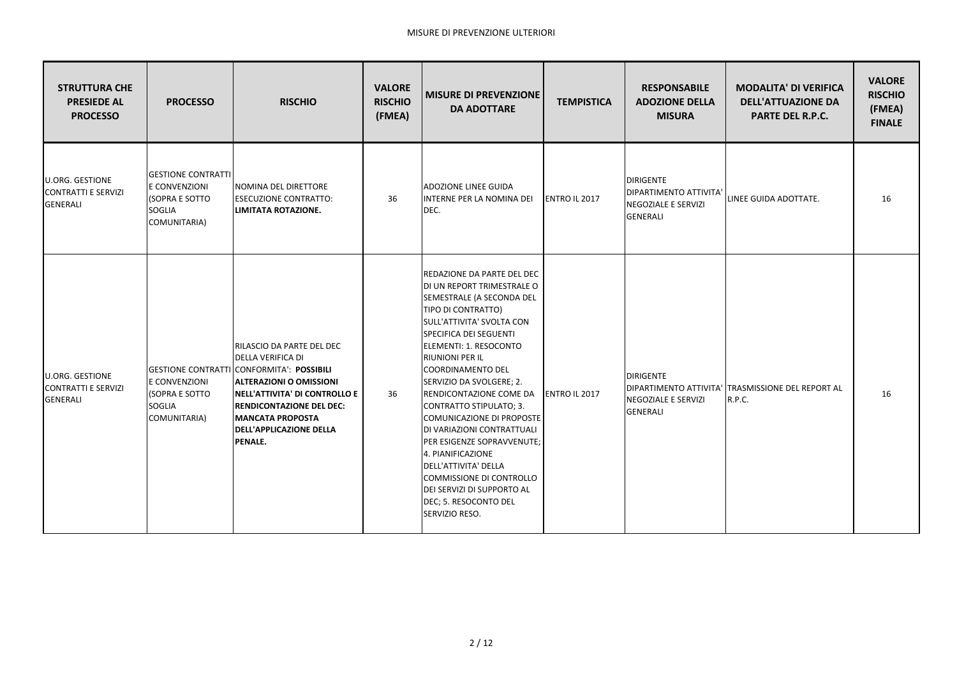| <b>STRUTTURA CHE</b><br><b>PRESIEDE AL</b><br><b>PROCESSO</b>           | <b>PROCESSO</b>                                                                               | <b>RISCHIO</b>                                                                                                                                                                                                                                                                    | <b>VALORE</b><br><b>RISCHIO</b><br>(FMEA) | <b>MISURE DI PREVENZIONE</b><br><b>DA ADOTTARE</b>                                                                                                                                                                                                                                                                                                                                                                                                                                                                                                                                     | <b>TEMPISTICA</b>     | <b>RESPONSABILE</b><br><b>ADOZIONE DELLA</b><br><b>MISURA</b>                               | <b>MODALITA' DI VERIFICA</b><br><b>DELL'ATTUAZIONE DA</b><br><b>PARTE DEL R.P.C.</b> | <b>VALORE</b><br><b>RISCHIO</b><br>(FMEA)<br><b>FINALE</b> |
|-------------------------------------------------------------------------|-----------------------------------------------------------------------------------------------|-----------------------------------------------------------------------------------------------------------------------------------------------------------------------------------------------------------------------------------------------------------------------------------|-------------------------------------------|----------------------------------------------------------------------------------------------------------------------------------------------------------------------------------------------------------------------------------------------------------------------------------------------------------------------------------------------------------------------------------------------------------------------------------------------------------------------------------------------------------------------------------------------------------------------------------------|-----------------------|---------------------------------------------------------------------------------------------|--------------------------------------------------------------------------------------|------------------------------------------------------------|
| <b>U.ORG. GESTIONE</b><br><b>CONTRATTI E SERVIZI</b><br><b>GENERALI</b> | <b>GESTIONE CONTRATTI</b><br>E CONVENZIONI<br>(SOPRA E SOTTO<br><b>SOGLIA</b><br>COMUNITARIA) | INOMINA DEL DIRETTORE<br><b>ESECUZIONE CONTRATTO:</b><br>LIMITATA ROTAZIONE.                                                                                                                                                                                                      | 36                                        | <b>ADOZIONE LINEE GUIDA</b><br>INTERNE PER LA NOMINA DEI<br>DEC.                                                                                                                                                                                                                                                                                                                                                                                                                                                                                                                       | <b>ENTRO IL 2017</b>  | <b>DIRIGENTE</b><br>DIPARTIMENTO ATTIVITA'<br><b>NEGOZIALE E SERVIZI</b><br><b>GENERALI</b> | LINEE GUIDA ADOTTATE.                                                                | 16                                                         |
| <b>U.ORG. GESTIONE</b><br><b>CONTRATTI E SERVIZI</b><br><b>GENERALI</b> | E CONVENZIONI<br><b>(SOPRA E SOTTO</b><br><b>SOGLIA</b><br>COMUNITARIA)                       | RILASCIO DA PARTE DEL DEC<br><b>DELLA VERIFICA DI</b><br>GESTIONE CONTRATTI CONFORMITA': POSSIBILI<br><b>ALTERAZIONI O OMISSIONI</b><br> NELL'ATTIVITA' DI CONTROLLO E<br><b>RENDICONTAZIONE DEL DEC:</b><br><b>MANCATA PROPOSTA</b><br><b>DELL'APPLICAZIONE DELLA</b><br>PENALE. | 36                                        | REDAZIONE DA PARTE DEL DEC<br>DI UN REPORT TRIMESTRALE O<br>SEMESTRALE (A SECONDA DEL<br>TIPO DI CONTRATTO)<br>SULL'ATTIVITA' SVOLTA CON<br>SPECIFICA DEI SEGUENTI<br>ELEMENTI: 1. RESOCONTO<br>RIUNIONI PER IL<br><b>COORDINAMENTO DEL</b><br>SERVIZIO DA SVOLGERE; 2.<br><b>RENDICONTAZIONE COME DA</b><br>CONTRATTO STIPULATO; 3.<br>COMUNICAZIONE DI PROPOSTE<br>DI VARIAZIONI CONTRATTUALI<br>PER ESIGENZE SOPRAVVENUTE;<br>4. PIANIFICAZIONE<br>DELL'ATTIVITA' DELLA<br><b>COMMISSIONE DI CONTROLLO</b><br>DEI SERVIZI DI SUPPORTO AL<br>DEC; 5. RESOCONTO DEL<br>SERVIZIO RESO. | <b>IENTRO IL 2017</b> | <b>DIRIGENTE</b><br><b>NEGOZIALE E SERVIZI</b><br><b>GENERALI</b>                           | DIPARTIMENTO ATTIVITA' TRASMISSIONE DEL REPORT AL<br><b>R.P.C.</b>                   | 16                                                         |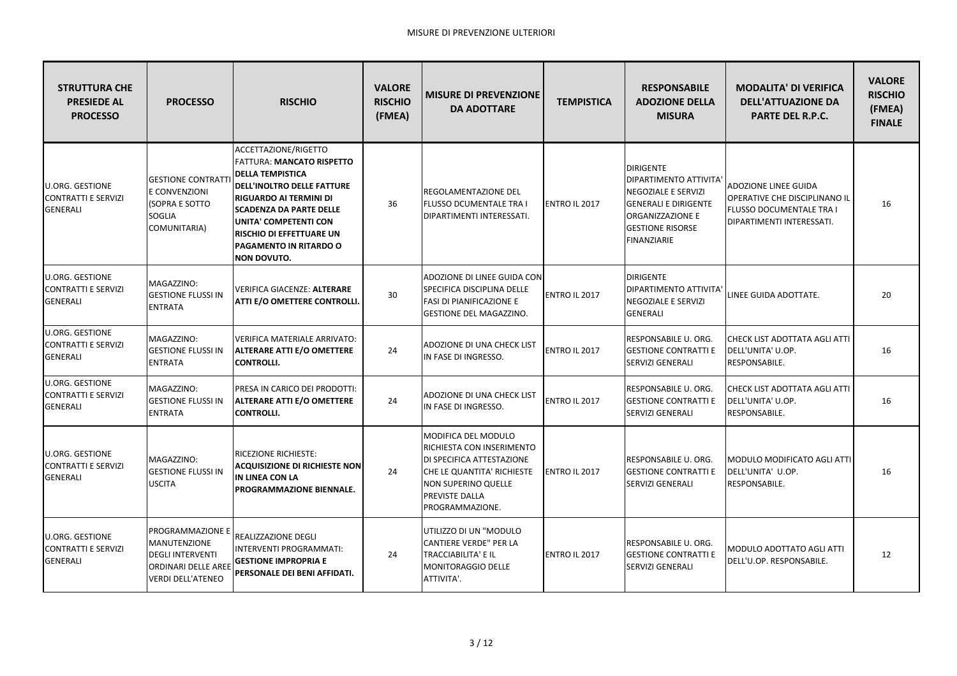| <b>STRUTTURA CHE</b><br><b>PRESIEDE AL</b><br><b>PROCESSO</b>           | <b>PROCESSO</b>                                                                                                              | <b>RISCHIO</b>                                                                                                                                                                                                                                                                                   | <b>VALORE</b><br><b>RISCHIO</b><br>(FMEA) | <b>MISURE DI PREVENZIONE</b><br><b>DA ADOTTARE</b>                                                                                                                      | <b>TEMPISTICA</b>    | <b>RESPONSABILE</b><br><b>ADOZIONE DELLA</b><br><b>MISURA</b>                                                                                                  | <b>MODALITA' DI VERIFICA</b><br><b>DELL'ATTUAZIONE DA</b><br><b>PARTE DEL R.P.C.</b>                                  | <b>VALORE</b><br><b>RISCHIO</b><br>(FMEA)<br><b>FINALE</b> |
|-------------------------------------------------------------------------|------------------------------------------------------------------------------------------------------------------------------|--------------------------------------------------------------------------------------------------------------------------------------------------------------------------------------------------------------------------------------------------------------------------------------------------|-------------------------------------------|-------------------------------------------------------------------------------------------------------------------------------------------------------------------------|----------------------|----------------------------------------------------------------------------------------------------------------------------------------------------------------|-----------------------------------------------------------------------------------------------------------------------|------------------------------------------------------------|
| <b>U.ORG. GESTIONE</b><br><b>CONTRATTI E SERVIZI</b><br><b>GENERALI</b> | <b>GESTIONE CONTRATTI</b><br>E CONVENZIONI<br>(SOPRA E SOTTO<br><b>SOGLIA</b><br>COMUNITARIA)                                | ACCETTAZIONE/RIGETTO<br>FATTURA: MANCATO RISPETTO<br><b>DELLA TEMPISTICA</b><br><b>DELL'INOLTRO DELLE FATTURE</b><br><b>RIGUARDO AI TERMINI DI</b><br><b>SCADENZA DA PARTE DELLE</b><br><b>UNITA' COMPETENTI CON</b><br><b>RISCHIO DI EFFETTUARE UN</b><br>PAGAMENTO IN RITARDO O<br>NON DOVUTO. | 36                                        | REGOLAMENTAZIONE DEL<br><b>FLUSSO DCUMENTALE TRA I</b><br>DIPARTIMENTI INTERESSATI.                                                                                     | ENTRO IL 2017        | <b>DIRIGENTE</b><br>DIPARTIMENTO ATTIVITA'<br>NEGOZIALE E SERVIZI<br><b>GENERALI E DIRIGENTE</b><br>ORGANIZZAZIONE E<br><b>GESTIONE RISORSE</b><br>FINANZIARIE | ADOZIONE LINEE GUIDA<br>OPERATIVE CHE DISCIPLINANO IL<br><b>FLUSSO DOCUMENTALE TRA I</b><br>DIPARTIMENTI INTERESSATI. | 16                                                         |
| <b>U.ORG. GESTIONE</b><br><b>CONTRATTI E SERVIZI</b><br><b>GENERALI</b> | MAGAZZINO:<br><b>GESTIONE FLUSSI IN</b><br><b>ENTRATA</b>                                                                    | VERIFICA GIACENZE: ALTERARE<br>ATTI E/O OMETTERE CONTROLLI.                                                                                                                                                                                                                                      | 30                                        | ADOZIONE DI LINEE GUIDA CON<br>SPECIFICA DISCIPLINA DELLE<br><b>FASI DI PIANIFICAZIONE E</b><br>GESTIONE DEL MAGAZZINO.                                                 | ENTRO IL 2017        | <b>DIRIGENTE</b><br><b>DIPARTIMENTO ATTIVITA</b><br>NEGOZIALE E SERVIZI<br><b>GENERALI</b>                                                                     | LINEE GUIDA ADOTTATE.                                                                                                 | 20                                                         |
| <b>U.ORG. GESTIONE</b><br><b>CONTRATTI E SERVIZI</b><br><b>GENERALI</b> | MAGAZZINO:<br><b>GESTIONE FLUSSI IN</b><br><b>ENTRATA</b>                                                                    | VERIFICA MATERIALE ARRIVATO:<br><b>ALTERARE ATTI E/O OMETTERE</b><br><b>CONTROLLI.</b>                                                                                                                                                                                                           | 24                                        | ADOZIONE DI UNA CHECK LIST<br>IN FASE DI INGRESSO.                                                                                                                      | ENTRO IL 2017        | RESPONSABILE U. ORG.<br><b>GESTIONE CONTRATTI E</b><br><b>SERVIZI GENERALI</b>                                                                                 | CHECK LIST ADOTTATA AGLI ATTI<br>DELL'UNITA' U.OP.<br>RESPONSABILE.                                                   | 16                                                         |
| <b>U.ORG. GESTIONE</b><br><b>CONTRATTI E SERVIZI</b><br><b>GENERALI</b> | MAGAZZINO:<br><b>GESTIONE FLUSSI IN</b><br><b>ENTRATA</b>                                                                    | PRESA IN CARICO DEI PRODOTTI:<br><b>ALTERARE ATTI E/O OMETTERE</b><br><b>CONTROLLI.</b>                                                                                                                                                                                                          | 24                                        | ADOZIONE DI UNA CHECK LIST<br>IN FASE DI INGRESSO.                                                                                                                      | ENTRO IL 2017        | RESPONSABILE U. ORG.<br><b>GESTIONE CONTRATTI E</b><br>SERVIZI GENERALI                                                                                        | <b>CHECK LIST ADOTTATA AGLI ATTI</b><br>DELL'UNITA' U.OP.<br>RESPONSABILE.                                            | 16                                                         |
| <b>U.ORG. GESTIONE</b><br><b>CONTRATTI E SERVIZI</b><br><b>GENERALI</b> | MAGAZZINO:<br><b>GESTIONE FLUSSI IN</b><br><b>USCITA</b>                                                                     | RICEZIONE RICHIESTE:<br><b>ACQUISIZIONE DI RICHIESTE NON</b><br><b>IN LINEA CON LA</b><br>PROGRAMMAZIONE BIENNALE.                                                                                                                                                                               | 24                                        | MODIFICA DEL MODULO<br>RICHIESTA CON INSERIMENTO<br>DI SPECIFICA ATTESTAZIONE<br>CHE LE QUANTITA' RICHIESTE<br>NON SUPERINO QUELLE<br>PREVISTE DALLA<br>PROGRAMMAZIONE. | <b>ENTRO IL 2017</b> | RESPONSABILE U. ORG.<br><b>GESTIONE CONTRATTI E</b><br><b>SERVIZI GENERALI</b>                                                                                 | MODULO MODIFICATO AGLI ATTI<br>DELL'UNITA' U.OP.<br>RESPONSABILE.                                                     | 16                                                         |
| <b>U.ORG. GESTIONE</b><br><b>CONTRATTI E SERVIZI</b><br><b>GENERALI</b> | <b>PROGRAMMAZIONE E</b><br>MANUTENZIONE<br><b>DEGLI INTERVENTI</b><br><b>ORDINARI DELLE AREE</b><br><b>VERDI DELL'ATENEO</b> | REALIZZAZIONE DEGLI<br>INTERVENTI PROGRAMMATI:<br><b>GESTIONE IMPROPRIA E</b><br>PERSONALE DEI BENI AFFIDATI.                                                                                                                                                                                    | 24                                        | UTILIZZO DI UN "MODULO<br>CANTIERE VERDE" PER LA<br>TRACCIABILITA' E IL<br>MONITORAGGIO DELLE<br>ATTIVITA'.                                                             | <b>ENTRO IL 2017</b> | RESPONSABILE U. ORG.<br><b>GESTIONE CONTRATTI E</b><br>SERVIZI GENERALI                                                                                        | MODULO ADOTTATO AGLI ATTI<br>DELL'U.OP. RESPONSABILE.                                                                 | 12                                                         |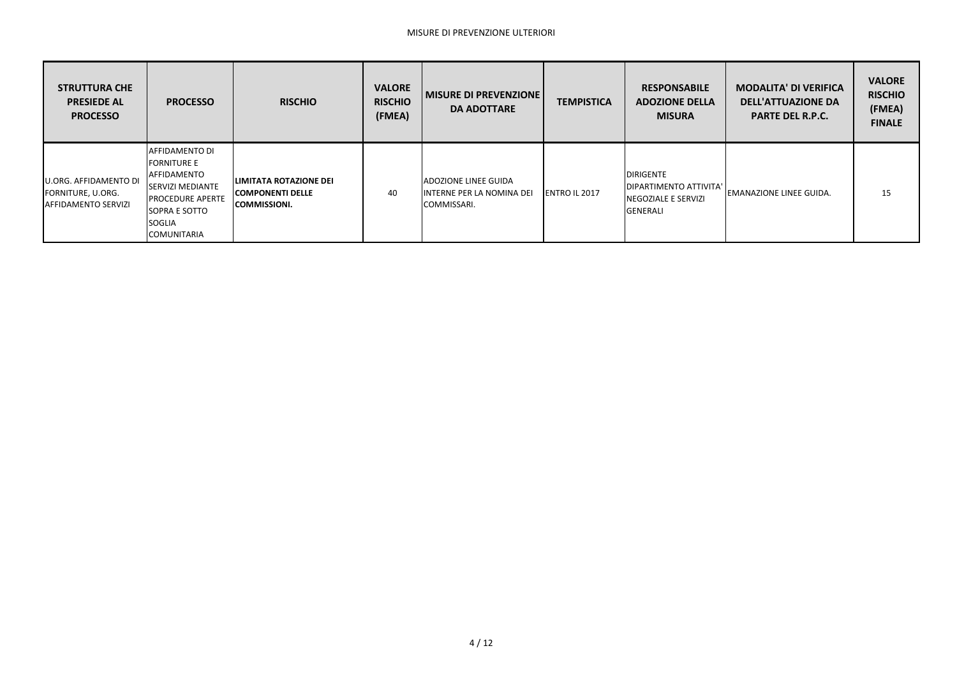| <b>STRUTTURA CHE</b><br><b>PRESIEDE AL</b><br><b>PROCESSO</b>            | <b>PROCESSO</b>                                                                                                                                                           | <b>RISCHIO</b>                                                                  | <b>VALORE</b><br><b>RISCHIO</b><br>(FMEA) | <b>MISURE DI PREVENZIONE</b><br><b>DA ADOTTARE</b>                      | <b>TEMPISTICA</b>    | <b>RESPONSABILE</b><br><b>ADOZIONE DELLA</b><br><b>MISURA</b>                         | <b>MODALITA' DI VERIFICA</b><br><b>DELL'ATTUAZIONE DA</b><br><b>PARTE DEL R.P.C.</b> | <b>VALORE</b><br><b>RISCHIO</b><br>(FMEA)<br><b>FINALE</b> |
|--------------------------------------------------------------------------|---------------------------------------------------------------------------------------------------------------------------------------------------------------------------|---------------------------------------------------------------------------------|-------------------------------------------|-------------------------------------------------------------------------|----------------------|---------------------------------------------------------------------------------------|--------------------------------------------------------------------------------------|------------------------------------------------------------|
| U.ORG. AFFIDAMENTO DI<br>FORNITURE, U.ORG.<br><b>AFFIDAMENTO SERVIZI</b> | <b>AFFIDAMENTO DI</b><br><b>FORNITURE E</b><br>AFFIDAMENTO<br><b>SERVIZI MEDIANTE</b><br><b>IPROCEDURE APERTE</b><br>SOPRA E SOTTO<br><b>SOGLIA</b><br><b>COMUNITARIA</b> | <b>LIMITATA ROTAZIONE DEI</b><br><b>COMPONENTI DELLE</b><br><b>COMMISSIONI.</b> | 40                                        | <b>ADOZIONE LINEE GUIDA</b><br>INTERNE PER LA NOMINA DEI<br>COMMISSARI. | <b>ENTRO IL 2017</b> | <b>DIRIGENTE</b><br>DIPARTIMENTO ATTIVITA'<br><b>INEGOZIALE E SERVIZI</b><br>GENERALI | <b>IEMANAZIONE LINEE GUIDA.</b>                                                      | 15                                                         |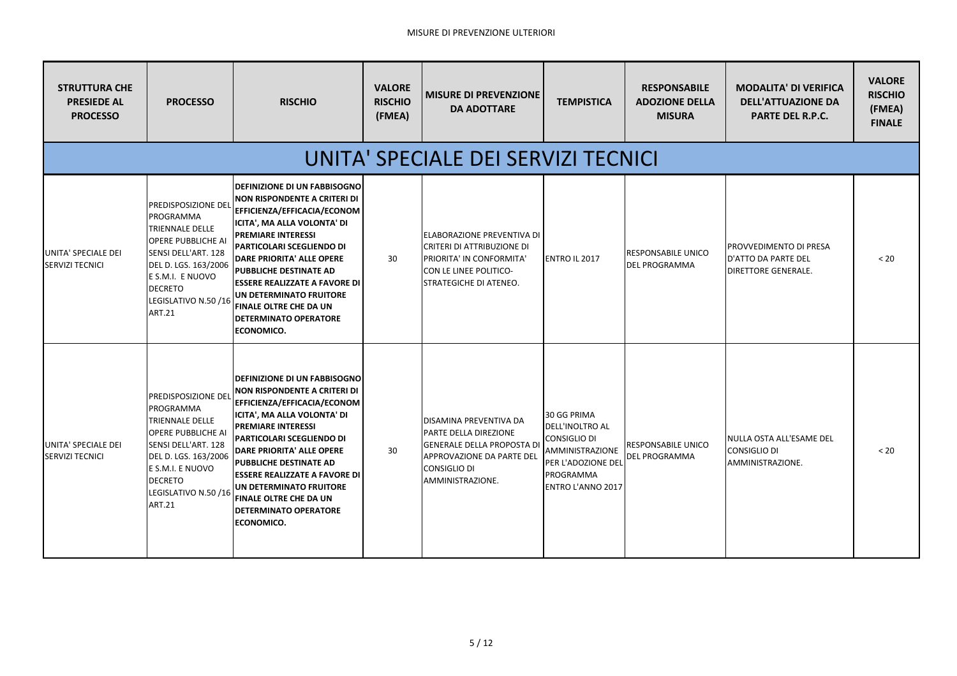## MISURE DI PREVENZIONE ULTERIORI

| <b>STRUTTURA CHE</b><br><b>PRESIEDE AL</b><br><b>PROCESSO</b> | <b>PROCESSO</b>                                                                                                                                                                                                                    | <b>RISCHIO</b>                                                                                                                                                                                                                                                                                                                                                                                                            | <b>VALORE</b><br><b>RISCHIO</b><br>(FMEA) | <b>MISURE DI PREVENZIONE</b><br><b>DA ADOTTARE</b>                                                                                                                  | <b>TEMPISTICA</b>                                                                                                                       | <b>RESPONSABILE</b><br><b>ADOZIONE DELLA</b><br><b>MISURA</b> | <b>MODALITA' DI VERIFICA</b><br><b>DELL'ATTUAZIONE DA</b><br><b>PARTE DEL R.P.C.</b> | <b>VALORE</b><br><b>RISCHIO</b><br>(FMEA)<br><b>FINALE</b> |  |  |
|---------------------------------------------------------------|------------------------------------------------------------------------------------------------------------------------------------------------------------------------------------------------------------------------------------|---------------------------------------------------------------------------------------------------------------------------------------------------------------------------------------------------------------------------------------------------------------------------------------------------------------------------------------------------------------------------------------------------------------------------|-------------------------------------------|---------------------------------------------------------------------------------------------------------------------------------------------------------------------|-----------------------------------------------------------------------------------------------------------------------------------------|---------------------------------------------------------------|--------------------------------------------------------------------------------------|------------------------------------------------------------|--|--|
| UNITA' SPECIALE DEI SERVIZI TECNICI                           |                                                                                                                                                                                                                                    |                                                                                                                                                                                                                                                                                                                                                                                                                           |                                           |                                                                                                                                                                     |                                                                                                                                         |                                                               |                                                                                      |                                                            |  |  |
| UNITA' SPECIALE DEI<br><b>SERVIZI TECNICI</b>                 | <b>PREDISPOSIZIONE DEL</b><br><b>PROGRAMMA</b><br><b>TRIENNALE DELLE</b><br><b>OPERE PUBBLICHE AI</b><br>SENSI DELL'ART. 128<br>DEL D. LGS. 163/2006<br>E S.M.I. E NUOVO<br><b>DECRETO</b><br>LEGISLATIVO N.50/16<br><b>ART.21</b> | <b>DEFINIZIONE DI UN FABBISOGNO</b><br><b>NON RISPONDENTE A CRITERI DI</b><br>EFFICIENZA/EFFICACIA/ECONOM<br><b>ICITA', MA ALLA VOLONTA' DI</b><br><b>PREMIARE INTERESSI</b><br>PARTICOLARI SCEGLIENDO DI<br>DARE PRIORITA' ALLE OPERE<br><b>PUBBLICHE DESTINATE AD</b><br><b>ESSERE REALIZZATE A FAVORE DI</b><br>UN DETERMINATO FRUITORE<br><b>FINALE OLTRE CHE DA UN</b><br><b>DETERMINATO OPERATORE</b><br>ECONOMICO. | 30                                        | <b>ELABORAZIONE PREVENTIVA DI</b><br><b>CRITERI DI ATTRIBUZIONE DI</b><br>PRIORITA' IN CONFORMITA'<br>CON LE LINEE POLITICO-<br>STRATEGICHE DI ATENEO.              | <b>ENTRO IL 2017</b>                                                                                                                    | <b>RESPONSABILE UNICO</b><br><b>DEL PROGRAMMA</b>             | IPROVVEDIMENTO DI PRESA<br>D'ATTO DA PARTE DEL<br><b>DIRETTORE GENERALE.</b>         | < 20                                                       |  |  |
| UNITA' SPECIALE DEI<br><b>SERVIZI TECNICI</b>                 | <b>PREDISPOSIZIONE DEL</b><br>PROGRAMMA<br><b>TRIENNALE DELLE</b><br><b>OPERE PUBBLICHE AI</b><br>SENSI DELL'ART. 128<br>DEL D. LGS. 163/2006<br>E S.M.I. E NUOVO<br>DECRETO<br>LEGISLATIVO N.50 /16<br><b>ART.21</b>              | <b>DEFINIZIONE DI UN FABBISOGNO</b><br>NON RISPONDENTE A CRITERI DI<br><b>EFFICIENZA/EFFICACIA/ECONOM</b><br>ICITA', MA ALLA VOLONTA' DI<br><b>PREMIARE INTERESSI</b><br>PARTICOLARI SCEGLIENDO DI<br><b>DARE PRIORITA' ALLE OPERE</b><br><b>PUBBLICHE DESTINATE AD</b><br><b>ESSERE REALIZZATE A FAVORE DI</b><br>UN DETERMINATO FRUITORE<br><b>FINALE OLTRE CHE DA UN</b><br><b>DETERMINATO OPERATORE</b><br>ECONOMICO. | 30                                        | DISAMINA PREVENTIVA DA<br>PARTE DELLA DIREZIONE<br><b>GENERALE DELLA PROPOSTA DI</b><br><b>APPROVAZIONE DA PARTE DEL</b><br><b>CONSIGLIO DI</b><br>AMMINISTRAZIONE. | 30 GG PRIMA<br>DELL'INOLTRO AL<br><b>CONSIGLIO DI</b><br>AMMINISTRAZIONE<br>PER L'ADOZIONE DEL<br>PROGRAMMA<br><b>ENTRO L'ANNO 2017</b> | RESPONSABILE UNICO<br><b>DEL PROGRAMMA</b>                    | NULLA OSTA ALL'ESAME DEL<br><b>CONSIGLIO DI</b><br>AMMINISTRAZIONE.                  | < 20                                                       |  |  |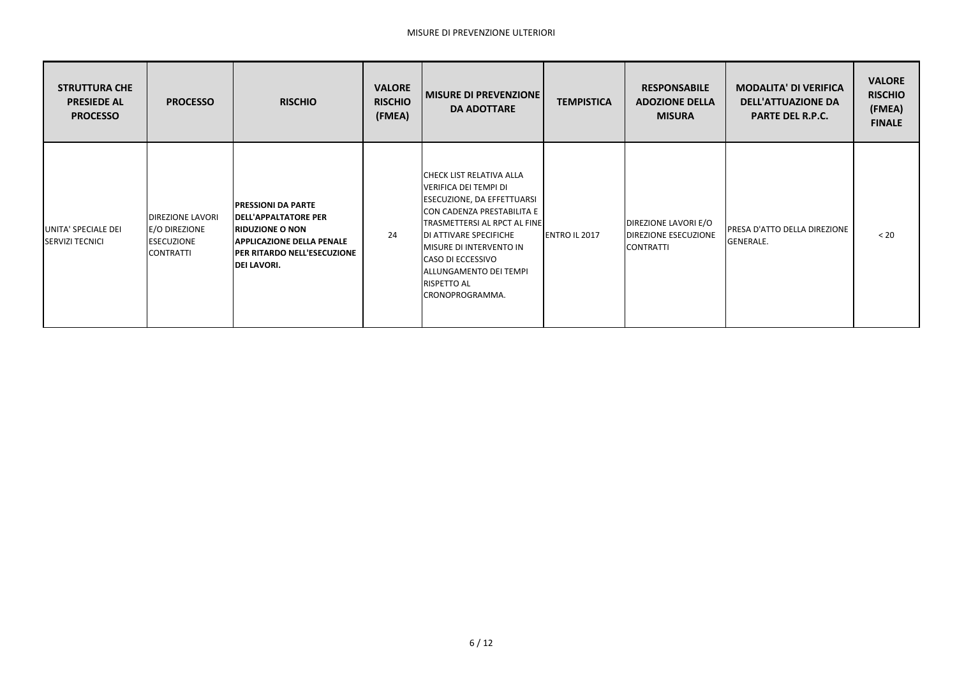| <b>STRUTTURA CHE</b><br><b>PRESIEDE AL</b><br><b>PROCESSO</b> | <b>PROCESSO</b>                                                                    | <b>RISCHIO</b>                                                                                                                                                                       | <b>VALORE</b><br><b>RISCHIO</b><br>(FMEA) | <b>MISURE DI PREVENZIONE</b><br><b>DA ADOTTARE</b>                                                                                                                                                                                                                                          | <b>TEMPISTICA</b> | <b>RESPONSABILE</b><br><b>ADOZIONE DELLA</b><br><b>MISURA</b>                  | <b>MODALITA' DI VERIFICA</b><br><b>DELL'ATTUAZIONE DA</b><br><b>PARTE DEL R.P.C.</b> | <b>VALORE</b><br><b>RISCHIO</b><br>(FMEA)<br><b>FINALE</b> |
|---------------------------------------------------------------|------------------------------------------------------------------------------------|--------------------------------------------------------------------------------------------------------------------------------------------------------------------------------------|-------------------------------------------|---------------------------------------------------------------------------------------------------------------------------------------------------------------------------------------------------------------------------------------------------------------------------------------------|-------------------|--------------------------------------------------------------------------------|--------------------------------------------------------------------------------------|------------------------------------------------------------|
| UNITA' SPECIALE DEI<br><b>SERVIZI TECNICI</b>                 | <b>IDIREZIONE LAVORI</b><br>E/O DIREZIONE<br><b>ESECUZIONE</b><br><b>CONTRATTI</b> | <b>PRESSIONI DA PARTE</b><br><b>IDELL'APPALTATORE PER</b><br><b>RIDUZIONE O NON</b><br><b>APPLICAZIONE DELLA PENALE</b><br><b>IPER RITARDO NELL'ESECUZIONE</b><br><b>DEI LAVORI.</b> | 24                                        | ICHECK LIST RELATIVA ALLA<br>VERIFICA DEI TEMPI DI<br>ESECUZIONE, DA EFFETTUARSI<br>CON CADENZA PRESTABILITA E<br><b>TRASMETTERSI AL RPCT AL FINE</b><br>DI ATTIVARE SPECIFICHE<br>MISURE DI INTERVENTO IN<br>CASO DI ECCESSIVO<br>ALLUNGAMENTO DEI TEMPI<br>RISPETTO AL<br>CRONOPROGRAMMA. | ENTRO IL 2017     | <b>DIREZIONE LAVORI E/O</b><br><b>DIREZIONE ESECUZIONE</b><br><b>CONTRATTI</b> | PRESA D'ATTO DELLA DIREZIONE<br><b>GENERALE.</b>                                     | < 20                                                       |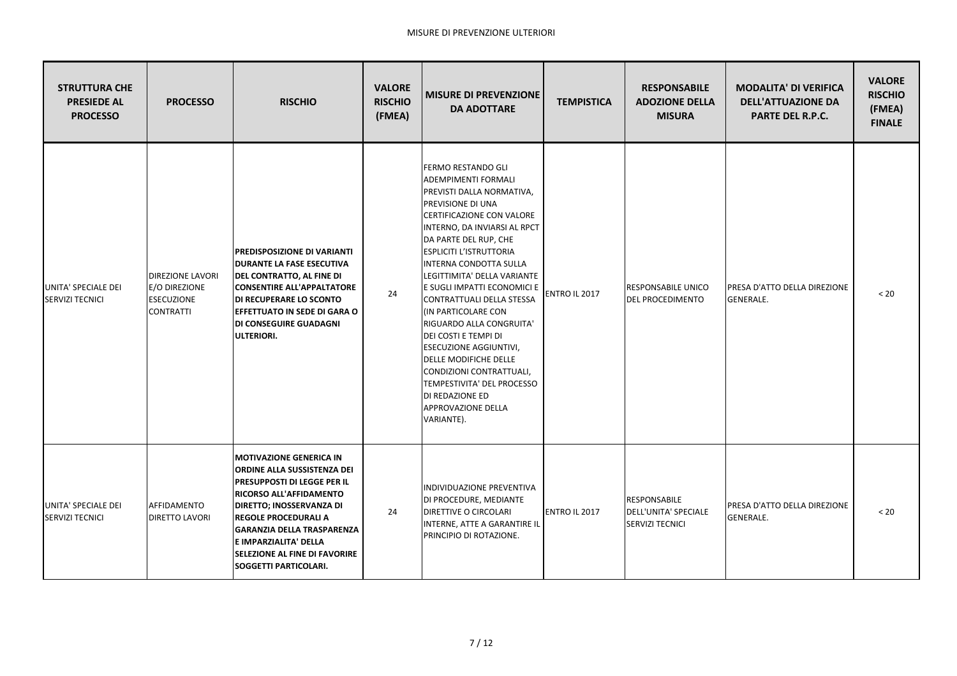| <b>STRUTTURA CHE</b><br><b>PRESIEDE AL</b><br><b>PROCESSO</b> | <b>PROCESSO</b>                                                                   | <b>RISCHIO</b>                                                                                                                                                                                                                                                                                                                                | <b>VALORE</b><br><b>RISCHIO</b><br>(FMEA) | <b>MISURE DI PREVENZIONE</b><br><b>DA ADOTTARE</b>                                                                                                                                                                                                                                                                                                                                                                                                                                                                                                                                                                                              | <b>TEMPISTICA</b> | <b>RESPONSABILE</b><br><b>ADOZIONE DELLA</b><br><b>MISURA</b>         | <b>MODALITA' DI VERIFICA</b><br><b>DELL'ATTUAZIONE DA</b><br><b>PARTE DEL R.P.C.</b> | <b>VALORE</b><br><b>RISCHIO</b><br>(FMEA)<br><b>FINALE</b> |
|---------------------------------------------------------------|-----------------------------------------------------------------------------------|-----------------------------------------------------------------------------------------------------------------------------------------------------------------------------------------------------------------------------------------------------------------------------------------------------------------------------------------------|-------------------------------------------|-------------------------------------------------------------------------------------------------------------------------------------------------------------------------------------------------------------------------------------------------------------------------------------------------------------------------------------------------------------------------------------------------------------------------------------------------------------------------------------------------------------------------------------------------------------------------------------------------------------------------------------------------|-------------------|-----------------------------------------------------------------------|--------------------------------------------------------------------------------------|------------------------------------------------------------|
| UNITA' SPECIALE DEI<br><b>SERVIZI TECNICI</b>                 | <b>DIREZIONE LAVORI</b><br>E/O DIREZIONE<br><b>ESECUZIONE</b><br><b>CONTRATTI</b> | <b>PREDISPOSIZIONE DI VARIANTI</b><br><b>DURANTE LA FASE ESECUTIVA</b><br><b>DEL CONTRATTO, AL FINE DI</b><br><b>CONSENTIRE ALL'APPALTATORE</b><br><b>DI RECUPERARE LO SCONTO</b><br><b>EFFETTUATO IN SEDE DI GARA O</b><br><b>DI CONSEGUIRE GUADAGNI</b><br>ULTERIORI.                                                                       | 24                                        | <b>FERMO RESTANDO GLI</b><br><b>ADEMPIMENTI FORMALI</b><br>PREVISTI DALLA NORMATIVA,<br><b>PREVISIONE DI UNA</b><br>CERTIFICAZIONE CON VALORE<br>INTERNO, DA INVIARSI AL RPCT<br>DA PARTE DEL RUP, CHE<br><b>ESPLICITI L'ISTRUTTORIA</b><br><b>INTERNA CONDOTTA SULLA</b><br>LEGITTIMITA' DELLA VARIANTE<br>E SUGLI IMPATTI ECONOMICI E<br>CONTRATTUALI DELLA STESSA<br>(IN PARTICOLARE CON<br>RIGUARDO ALLA CONGRUITA'<br><b>DEI COSTI E TEMPI DI</b><br><b>ESECUZIONE AGGIUNTIVI,</b><br><b>DELLE MODIFICHE DELLE</b><br>CONDIZIONI CONTRATTUALI,<br>TEMPESTIVITA' DEL PROCESSO<br>DI REDAZIONE ED<br><b>APPROVAZIONE DELLA</b><br>VARIANTE). | ENTRO IL 2017     | <b>RESPONSABILE UNICO</b><br><b>DEL PROCEDIMENTO</b>                  | PRESA D'ATTO DELLA DIREZIONE<br><b>GENERALE.</b>                                     | $< 20$                                                     |
| UNITA' SPECIALE DEI<br><b>SERVIZI TECNICI</b>                 | AFFIDAMENTO<br><b>DIRETTO LAVORI</b>                                              | <b>MOTIVAZIONE GENERICA IN</b><br>ORDINE ALLA SUSSISTENZA DEI<br><b>PRESUPPOSTI DI LEGGE PER IL</b><br><b>RICORSO ALL'AFFIDAMENTO</b><br><b>DIRETTO; INOSSERVANZA DI</b><br><b>REGOLE PROCEDURALI A</b><br><b>GARANZIA DELLA TRASPARENZA</b><br>E IMPARZIALITA' DELLA<br><b>SELEZIONE AL FINE DI FAVORIRE</b><br><b>SOGGETTI PARTICOLARI.</b> | 24                                        | INDIVIDUAZIONE PREVENTIVA<br>DI PROCEDURE, MEDIANTE<br><b>DIRETTIVE O CIRCOLARI</b><br>INTERNE, ATTE A GARANTIRE IL<br>PRINCIPIO DI ROTAZIONE.                                                                                                                                                                                                                                                                                                                                                                                                                                                                                                  | ENTRO IL 2017     | <b>RESPONSABILE</b><br>DELL'UNITA' SPECIALE<br><b>SERVIZI TECNICI</b> | PRESA D'ATTO DELLA DIREZIONE<br><b>GENERALE.</b>                                     | $< 20$                                                     |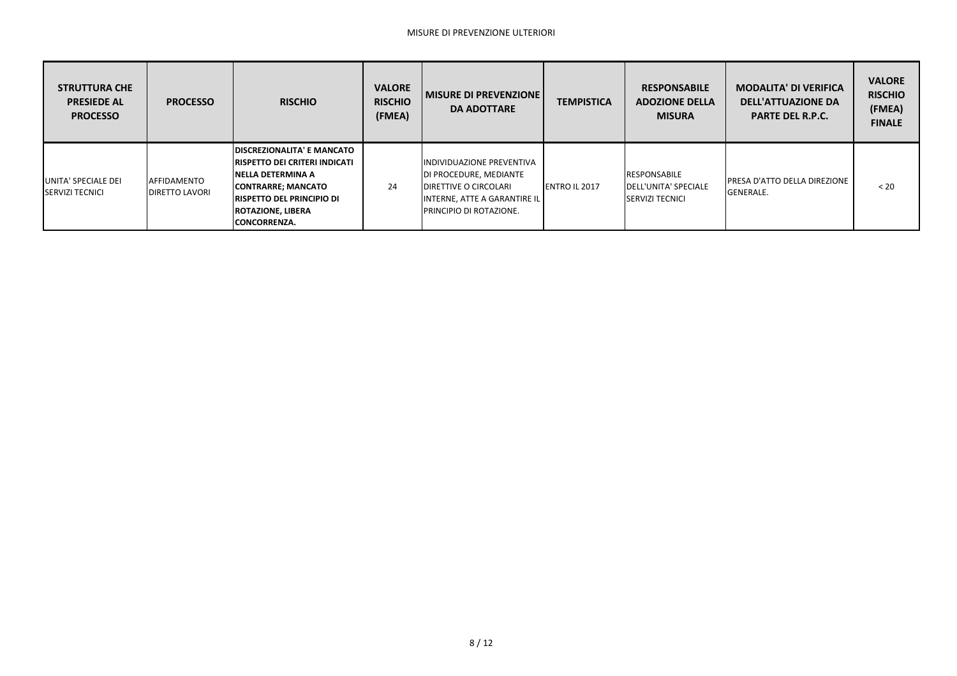| <b>STRUTTURA CHE</b><br><b>PRESIEDE AL</b><br><b>PROCESSO</b> | <b>PROCESSO</b>                              | <b>RISCHIO</b>                                                                                                                                                                                                                | <b>VALORE</b><br><b>RISCHIO</b><br>(FMEA) | <b>MISURE DI PREVENZIONE</b><br><b>DA ADOTTARE</b>                                                                                                                     | <b>TEMPISTICA</b>    | <b>RESPONSABILE</b><br><b>ADOZIONE DELLA</b><br><b>MISURA</b>                  | <b>MODALITA' DI VERIFICA</b><br><b>DELL'ATTUAZIONE DA</b><br><b>PARTE DEL R.P.C.</b> | <b>VALORE</b><br><b>RISCHIO</b><br>(FMEA)<br><b>FINALE</b> |
|---------------------------------------------------------------|----------------------------------------------|-------------------------------------------------------------------------------------------------------------------------------------------------------------------------------------------------------------------------------|-------------------------------------------|------------------------------------------------------------------------------------------------------------------------------------------------------------------------|----------------------|--------------------------------------------------------------------------------|--------------------------------------------------------------------------------------|------------------------------------------------------------|
| UNITA' SPECIALE DEI<br><b>ISERVIZI TECNICI</b>                | <b>AFFIDAMENTO</b><br><b>IDIRETTO LAVORI</b> | <b>IDISCREZIONALITA' E MANCATO</b><br><b>IRISPETTO DEI CRITERI INDICATI</b><br><b>INELLA DETERMINA A</b><br><b>CONTRARRE; MANCATO</b><br><b>IRISPETTO DEL PRINCIPIO DI</b><br><b>ROTAZIONE, LIBERA</b><br><b>CONCORRENZA.</b> | 24                                        | <b>IINDIVIDUAZIONE PREVENTIVA</b><br><b>DI PROCEDURE, MEDIANTE</b><br><b>IDIRETTIVE O CIRCOLARI</b><br>INTERNE, ATTE A GARANTIRE IL<br><b>IPRINCIPIO DI ROTAZIONE.</b> | <b>ENTRO IL 2017</b> | <b>RESPONSABILE</b><br><b>IDELL'UNITA' SPECIALE</b><br><b>ISERVIZI TECNICI</b> | <b>IPRESA D'ATTO DELLA DIREZIONE</b><br><b>GENERALE.</b>                             | < 20                                                       |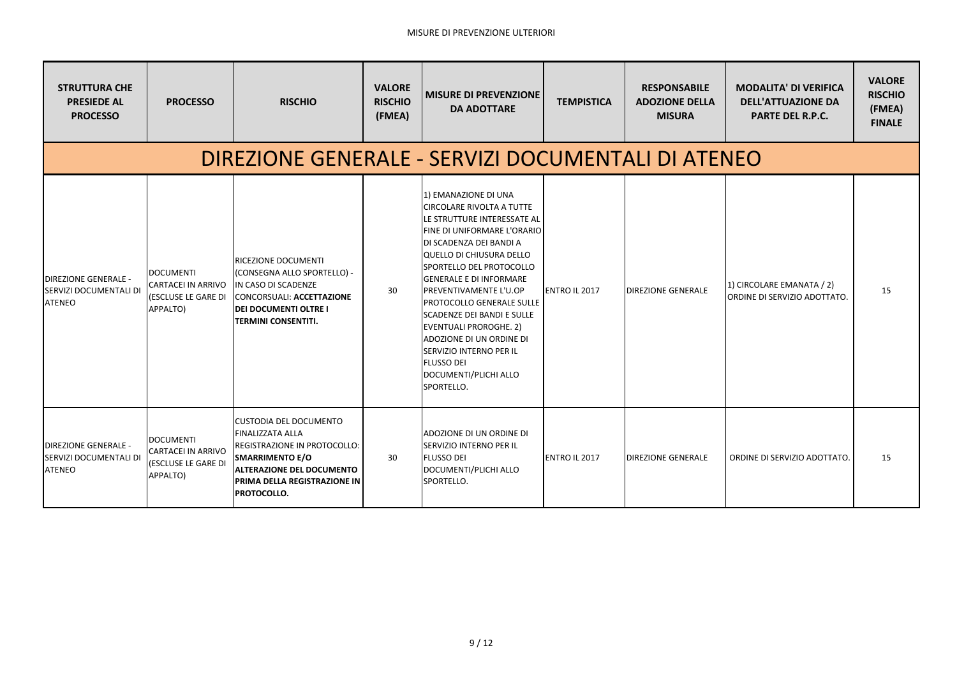| <b>STRUTTURA CHE</b><br><b>PRESIEDE AL</b><br><b>PROCESSO</b>                 | <b>PROCESSO</b>                                                                   | <b>RISCHIO</b>                                                                                                                                                                                                      | <b>VALORE</b><br><b>RISCHIO</b><br>(FMEA) | <b>MISURE DI PREVENZIONE</b><br><b>DA ADOTTARE</b>                                                                                                                                                                                                                                                                                                                                                                                                                                                             | <b>TEMPISTICA</b>    | <b>RESPONSABILE</b><br><b>ADOZIONE DELLA</b><br><b>MISURA</b> | <b>MODALITA' DI VERIFICA</b><br><b>DELL'ATTUAZIONE DA</b><br><b>PARTE DEL R.P.C.</b> | <b>VALORE</b><br><b>RISCHIO</b><br>(FMEA)<br><b>FINALE</b> |  |  |  |
|-------------------------------------------------------------------------------|-----------------------------------------------------------------------------------|---------------------------------------------------------------------------------------------------------------------------------------------------------------------------------------------------------------------|-------------------------------------------|----------------------------------------------------------------------------------------------------------------------------------------------------------------------------------------------------------------------------------------------------------------------------------------------------------------------------------------------------------------------------------------------------------------------------------------------------------------------------------------------------------------|----------------------|---------------------------------------------------------------|--------------------------------------------------------------------------------------|------------------------------------------------------------|--|--|--|
| DIREZIONE GENERALE - SERVIZI DOCUMENTALI DI ATENEO                            |                                                                                   |                                                                                                                                                                                                                     |                                           |                                                                                                                                                                                                                                                                                                                                                                                                                                                                                                                |                      |                                                               |                                                                                      |                                                            |  |  |  |
| <b>DIREZIONE GENERALE -</b><br><b>SERVIZI DOCUMENTALI DI</b><br><b>ATENEO</b> | <b>IDOCUMENTI</b><br><b>CARTACEI IN ARRIVO</b><br>(ESCLUSE LE GARE DI<br>APPALTO) | IRICEZIONE DOCUMENTI<br>(CONSEGNA ALLO SPORTELLO) -<br>IN CASO DI SCADENZE<br>CONCORSUALI: ACCETTAZIONE<br><b>DEI DOCUMENTI OLTRE I</b><br><b>ITERMINI CONSENTITI.</b>                                              | 30                                        | 1) EMANAZIONE DI UNA<br>ICIRCOLARE RIVOLTA A TUTTE<br><b>ILE STRUTTURE INTERESSATE AL</b><br>FINE DI UNIFORMARE L'ORARIO<br>DI SCADENZA DEI BANDI A<br>QUELLO DI CHIUSURA DELLO<br>SPORTELLO DEL PROTOCOLLO<br><b>IGENERALE E DI INFORMARE</b><br><b>IPREVENTIVAMENTE L'U.OP</b><br><b>PROTOCOLLO GENERALE SULLE</b><br><b>ISCADENZE DEI BANDI E SULLE</b><br>EVENTUALI PROROGHE. 2)<br>ADOZIONE DI UN ORDINE DI<br><b>SERVIZIO INTERNO PER IL</b><br><b>FLUSSO DEI</b><br>DOCUMENTI/PLICHI ALLO<br>SPORTELLO. | <b>ENTRO IL 2017</b> | <b>DIREZIONE GENERALE</b>                                     | 1) CIRCOLARE EMANATA / 2)<br>ORDINE DI SERVIZIO ADOTTATO.                            | 15                                                         |  |  |  |
| <b>DIREZIONE GENERALE -</b><br>SERVIZI DOCUMENTALI DI<br><b>ATENEO</b>        | <b>DOCUMENTI</b><br><b>CARTACEI IN ARRIVO</b><br>(ESCLUSE LE GARE DI<br>APPALTO)  | <b>CUSTODIA DEL DOCUMENTO</b><br><b>FINALIZZATA ALLA</b><br>REGISTRAZIONE IN PROTOCOLLO:<br><b>SMARRIMENTO E/O</b><br><b>ALTERAZIONE DEL DOCUMENTO</b><br><b>PRIMA DELLA REGISTRAZIONE IN</b><br><b>PROTOCOLLO.</b> | 30                                        | ADOZIONE DI UN ORDINE DI<br><b>ISERVIZIO INTERNO PER IL</b><br><b>FLUSSO DEI</b><br>DOCUMENTI/PLICHI ALLO<br>SPORTELLO.                                                                                                                                                                                                                                                                                                                                                                                        | <b>ENTRO IL 2017</b> | <b>DIREZIONE GENERALE</b>                                     | ORDINE DI SERVIZIO ADOTTATO.                                                         | 15                                                         |  |  |  |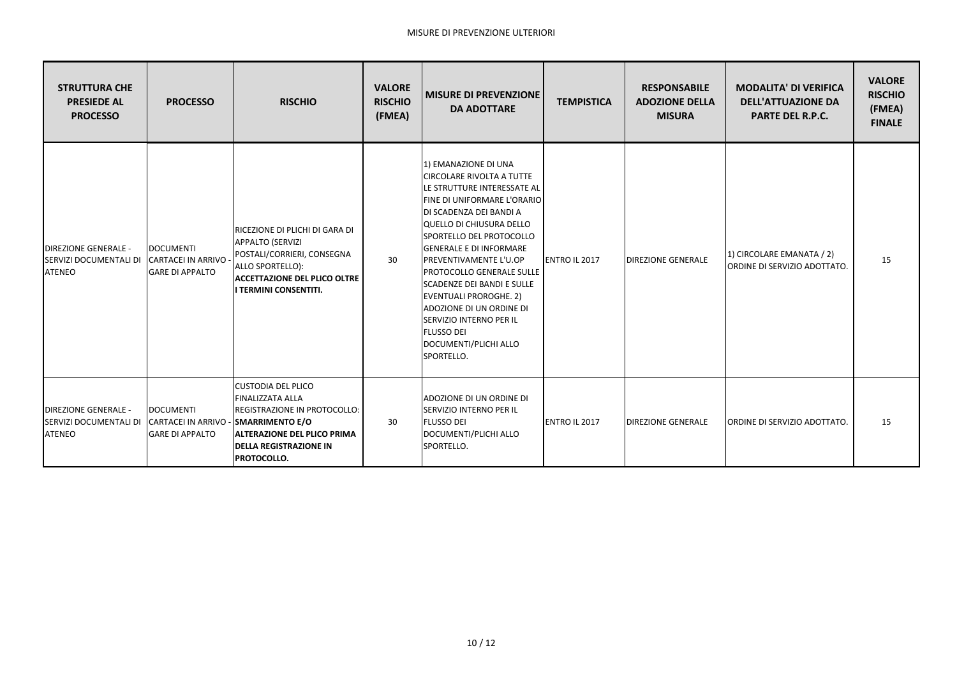| <b>STRUTTURA CHE</b><br><b>PRESIEDE AL</b><br><b>PROCESSO</b>                             | <b>PROCESSO</b>                                                  | <b>RISCHIO</b>                                                                                                                                                                                              | <b>VALORE</b><br><b>RISCHIO</b><br>(FMEA) | <b>MISURE DI PREVENZIONE</b><br><b>DA ADOTTARE</b>                                                                                                                                                                                                                                                                                                                                                                                                                                          | <b>TEMPISTICA</b>    | <b>RESPONSABILE</b><br><b>ADOZIONE DELLA</b><br><b>MISURA</b> | <b>MODALITA' DI VERIFICA</b><br><b>DELL'ATTUAZIONE DA</b><br><b>PARTE DEL R.P.C.</b> | <b>VALORE</b><br><b>RISCHIO</b><br>(FMEA)<br><b>FINALE</b> |
|-------------------------------------------------------------------------------------------|------------------------------------------------------------------|-------------------------------------------------------------------------------------------------------------------------------------------------------------------------------------------------------------|-------------------------------------------|---------------------------------------------------------------------------------------------------------------------------------------------------------------------------------------------------------------------------------------------------------------------------------------------------------------------------------------------------------------------------------------------------------------------------------------------------------------------------------------------|----------------------|---------------------------------------------------------------|--------------------------------------------------------------------------------------|------------------------------------------------------------|
| <b>DIREZIONE GENERALE -</b><br>SERVIZI DOCUMENTALI DI CARTACEI IN ARRIVO<br><b>ATENEO</b> | <b>DOCUMENTI</b><br><b>GARE DI APPALTO</b>                       | RICEZIONE DI PLICHI DI GARA DI<br><b>APPALTO (SERVIZI</b><br>POSTALI/CORRIERI, CONSEGNA<br>ALLO SPORTELLO):<br><b>ACCETTAZIONE DEL PLICO OLTRE</b><br>I TERMINI CONSENTITI.                                 | 30                                        | 1) EMANAZIONE DI UNA<br><b>CIRCOLARE RIVOLTA A TUTTE</b><br>LE STRUTTURE INTERESSATE AL<br>FINE DI UNIFORMARE L'ORARIO<br>DI SCADENZA DEI BANDI A<br>QUELLO DI CHIUSURA DELLO<br>SPORTELLO DEL PROTOCOLLO<br><b>GENERALE E DI INFORMARE</b><br>PREVENTIVAMENTE L'U.OP<br>PROTOCOLLO GENERALE SULLE<br>SCADENZE DEI BANDI E SULLE<br><b>EVENTUALI PROROGHE. 2)</b><br>ADOZIONE DI UN ORDINE DI<br><b>SERVIZIO INTERNO PER IL</b><br><b>FLUSSO DEI</b><br>DOCUMENTI/PLICHI ALLO<br>SPORTELLO. | <b>ENTRO IL 2017</b> | <b>DIREZIONE GENERALE</b>                                     | 1) CIRCOLARE EMANATA / 2)<br>ORDINE DI SERVIZIO ADOTTATO.                            | 15                                                         |
| <b>DIREZIONE GENERALE -</b><br>SERVIZI DOCUMENTALI DI<br><b>ATENEO</b>                    | <b>DOCUMENTI</b><br>CARTACEI IN ARRIVO<br><b>GARE DI APPALTO</b> | <b>CUSTODIA DEL PLICO</b><br><b>FINALIZZATA ALLA</b><br>REGISTRAZIONE IN PROTOCOLLO:<br><b>SMARRIMENTO E/O</b><br><b>ALTERAZIONE DEL PLICO PRIMA</b><br><b>DELLA REGISTRAZIONE IN</b><br><b>PROTOCOLLO.</b> | 30                                        | ADOZIONE DI UN ORDINE DI<br>SERVIZIO INTERNO PER IL<br><b>FLUSSO DEI</b><br>DOCUMENTI/PLICHI ALLO<br>SPORTELLO.                                                                                                                                                                                                                                                                                                                                                                             | <b>ENTRO IL 2017</b> | <b>DIREZIONE GENERALE</b>                                     | ORDINE DI SERVIZIO ADOTTATO.                                                         | 15                                                         |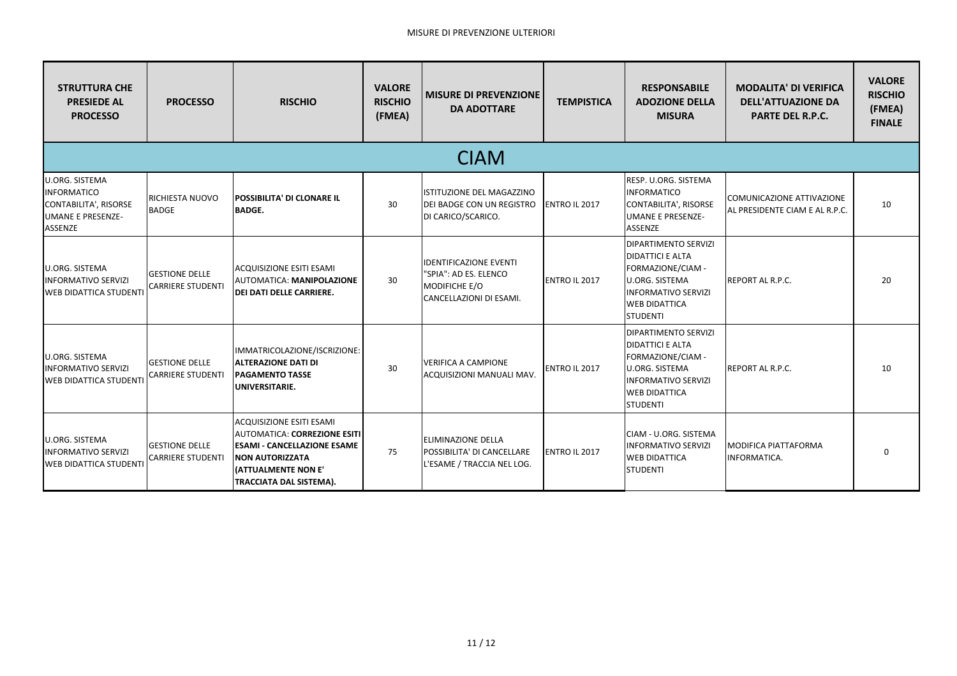| <b>STRUTTURA CHE</b><br><b>PRESIEDE AL</b><br><b>PROCESSO</b>                                                      | <b>PROCESSO</b>                                   | <b>RISCHIO</b>                                                                                                                                                                    | <b>VALORE</b><br><b>RISCHIO</b><br>(FMEA) | <b>MISURE DI PREVENZIONE</b><br><b>DA ADOTTARE</b>                                                 | <b>TEMPISTICA</b>    | <b>RESPONSABILE</b><br><b>ADOZIONE DELLA</b><br><b>MISURA</b>                                                                                                                 | <b>MODALITA' DI VERIFICA</b><br><b>DELL'ATTUAZIONE DA</b><br><b>PARTE DEL R.P.C.</b> | <b>VALORE</b><br><b>RISCHIO</b><br>(FMEA)<br><b>FINALE</b> |  |  |  |
|--------------------------------------------------------------------------------------------------------------------|---------------------------------------------------|-----------------------------------------------------------------------------------------------------------------------------------------------------------------------------------|-------------------------------------------|----------------------------------------------------------------------------------------------------|----------------------|-------------------------------------------------------------------------------------------------------------------------------------------------------------------------------|--------------------------------------------------------------------------------------|------------------------------------------------------------|--|--|--|
| <b>CIAM</b>                                                                                                        |                                                   |                                                                                                                                                                                   |                                           |                                                                                                    |                      |                                                                                                                                                                               |                                                                                      |                                                            |  |  |  |
| <b>U.ORG. SISTEMA</b><br><b>INFORMATICO</b><br><b>CONTABILITA', RISORSE</b><br><b>UMANE E PRESENZE-</b><br>ASSENZE | RICHIESTA NUOVO<br><b>BADGE</b>                   | POSSIBILITA' DI CLONARE IL<br><b>BADGE.</b>                                                                                                                                       | 30                                        | ISTITUZIONE DEL MAGAZZINO<br>DEI BADGE CON UN REGISTRO<br>DI CARICO/SCARICO.                       | ENTRO IL 2017        | RESP. U.ORG. SISTEMA<br><b>INFORMATICO</b><br>CONTABILITA', RISORSE<br><b>UMANE E PRESENZE-</b><br>ASSENZE                                                                    | COMUNICAZIONE ATTIVAZIONE<br>AL PRESIDENTE CIAM E AL R.P.C.                          | 10                                                         |  |  |  |
| <b>U.ORG. SISTEMA</b><br><b>INFORMATIVO SERVIZI</b><br><b>WEB DIDATTICA STUDENTI</b>                               | <b>GESTIONE DELLE</b><br><b>CARRIERE STUDENTI</b> | <b>ACQUISIZIONE ESITI ESAMI</b><br>AUTOMATICA: MANIPOLAZIONE<br><b>DEI DATI DELLE CARRIERE.</b>                                                                                   | 30                                        | <b>IDENTIFICAZIONE EVENTI</b><br>"SPIA": AD ES. ELENCO<br>MODIFICHE E/O<br>CANCELLAZIONI DI ESAMI. | ENTRO IL 2017        | <b>DIPARTIMENTO SERVIZI</b><br><b>DIDATTICI E ALTA</b><br>FORMAZIONE/CIAM -<br><b>U.ORG. SISTEMA</b><br><b>INFORMATIVO SERVIZI</b><br><b>WEB DIDATTICA</b><br><b>STUDENTI</b> | REPORT AL R.P.C.                                                                     | 20                                                         |  |  |  |
| <b>U.ORG. SISTEMA</b><br><b>INFORMATIVO SERVIZI</b><br><b>WEB DIDATTICA STUDENT</b>                                | <b>GESTIONE DELLE</b><br><b>CARRIERE STUDENTI</b> | IMMATRICOLAZIONE/ISCRIZIONE:<br><b>ALTERAZIONE DATI DI</b><br><b>PAGAMENTO TASSE</b><br>UNIVERSITARIE.                                                                            | 30                                        | <b>VERIFICA A CAMPIONE</b><br>ACQUISIZIONI MANUALI MAV.                                            | <b>ENTRO IL 2017</b> | DIPARTIMENTO SERVIZI<br><b>DIDATTICI E ALTA</b><br>FORMAZIONE/CIAM -<br><b>U.ORG. SISTEMA</b><br><b>INFORMATIVO SERVIZI</b><br><b>WEB DIDATTICA</b><br><b>STUDENTI</b>        | REPORT AL R.P.C.                                                                     | 10                                                         |  |  |  |
| <b>U.ORG. SISTEMA</b><br><b>INFORMATIVO SERVIZI</b><br><b>WEB DIDATTICA STUDENTI</b>                               | <b>GESTIONE DELLE</b><br><b>CARRIERE STUDENTI</b> | <b>ACQUISIZIONE ESITI ESAMI</b><br>AUTOMATICA: CORREZIONE ESITI<br><b>ESAMI - CANCELLAZIONE ESAME</b><br><b>NON AUTORIZZATA</b><br>(ATTUALMENTE NON E'<br>TRACCIATA DAL SISTEMA). | 75                                        | <b>ELIMINAZIONE DELLA</b><br>POSSIBILITA' DI CANCELLARE<br>L'ESAME / TRACCIA NEL LOG.              | <b>ENTRO IL 2017</b> | CIAM - U.ORG. SISTEMA<br><b>INFORMATIVO SERVIZI</b><br><b>WEB DIDATTICA</b><br><b>STUDENTI</b>                                                                                | <b>MODIFICA PIATTAFORMA</b><br>INFORMATICA.                                          |                                                            |  |  |  |